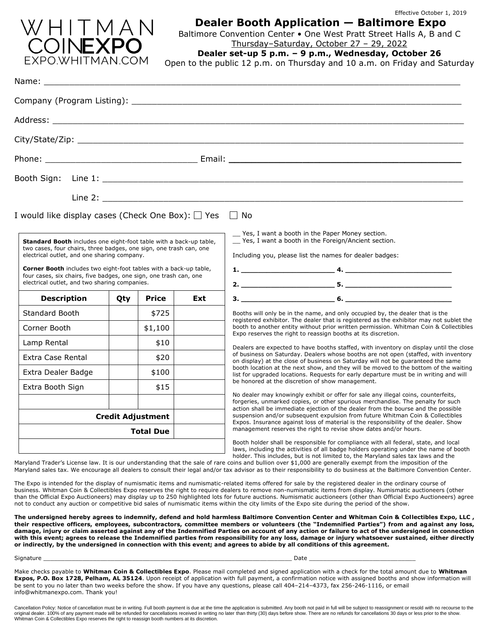

# Effective October 1, 2019 **Dealer Booth Application — Baltimore Expo**

Baltimore Convention Center • One West Pratt Street Halls A, B and C Thursday–Saturday, October 27 – 29, 2022

**Dealer set-up 5 p.m. – 9 p.m., Wednesday, October 26**

Open to the public 12 p.m. on Thursday and 10 a.m. on Friday and Saturday

| Name:                                                                                                                                                                                                                                                                                                                                                                                     |              |     |                                                                                                                                                                                                                                                                                                                                                                                                                                  |  |  |  |
|-------------------------------------------------------------------------------------------------------------------------------------------------------------------------------------------------------------------------------------------------------------------------------------------------------------------------------------------------------------------------------------------|--------------|-----|----------------------------------------------------------------------------------------------------------------------------------------------------------------------------------------------------------------------------------------------------------------------------------------------------------------------------------------------------------------------------------------------------------------------------------|--|--|--|
|                                                                                                                                                                                                                                                                                                                                                                                           |              |     | Company (Program Listing): Lating and the company of the company of the company of the company of the company of the company of the company of the company of the company of the company of the company of the company of the                                                                                                                                                                                                    |  |  |  |
|                                                                                                                                                                                                                                                                                                                                                                                           |              |     |                                                                                                                                                                                                                                                                                                                                                                                                                                  |  |  |  |
|                                                                                                                                                                                                                                                                                                                                                                                           |              |     |                                                                                                                                                                                                                                                                                                                                                                                                                                  |  |  |  |
|                                                                                                                                                                                                                                                                                                                                                                                           |              |     |                                                                                                                                                                                                                                                                                                                                                                                                                                  |  |  |  |
|                                                                                                                                                                                                                                                                                                                                                                                           |              |     |                                                                                                                                                                                                                                                                                                                                                                                                                                  |  |  |  |
| I would like display cases (Check One Box): $\Box$ Yes                                                                                                                                                                                                                                                                                                                                    |              |     | $\Box$ No<br>Yes, I want a booth in the Paper Money section.                                                                                                                                                                                                                                                                                                                                                                     |  |  |  |
| Standard Booth includes one eight-foot table with a back-up table,<br>two cases, four chairs, three badges, one sign, one trash can, one<br>electrical outlet, and one sharing company.<br><b>Corner Booth</b> includes two eight-foot tables with a back-up table,<br>four cases, six chairs, five badges, one sign, one trash can, one<br>electrical outlet, and two sharing companies. |              |     | _ Yes, I want a booth in the Foreign/Ancient section.<br>Including you, please list the names for dealer badges:                                                                                                                                                                                                                                                                                                                 |  |  |  |
| <b>Description</b>                                                                                                                                                                                                                                                                                                                                                                        | Price<br>Qty | Ext |                                                                                                                                                                                                                                                                                                                                                                                                                                  |  |  |  |
| Standard Booth                                                                                                                                                                                                                                                                                                                                                                            | \$725        |     | Booths will only be in the name, and only occupied by, the dealer that is the                                                                                                                                                                                                                                                                                                                                                    |  |  |  |
| Corner Booth                                                                                                                                                                                                                                                                                                                                                                              | \$1,100      |     | registered exhibitor. The dealer that is registered as the exhibitor may not sublet the<br>booth to another entity without prior written permission. Whitman Coin & Collectibles<br>Expo reserves the right to reassign booths at its discretion.                                                                                                                                                                                |  |  |  |
| Lamp Rental                                                                                                                                                                                                                                                                                                                                                                               | \$10         |     | Dealers are expected to have booths staffed, with inventory on display until the close                                                                                                                                                                                                                                                                                                                                           |  |  |  |
| <b>Extra Case Rental</b>                                                                                                                                                                                                                                                                                                                                                                  | \$20         |     | of business on Saturday. Dealers whose booths are not open (staffed, with inventory<br>on display) at the close of business on Saturday will not be quaranteed the same                                                                                                                                                                                                                                                          |  |  |  |
| Extra Dealer Badge                                                                                                                                                                                                                                                                                                                                                                        | \$100        |     | booth location at the next show, and they will be moved to the bottom of the waiting<br>list for upgraded locations. Requests for early departure must be in writing and will                                                                                                                                                                                                                                                    |  |  |  |
| Extra Booth Sign                                                                                                                                                                                                                                                                                                                                                                          | \$15         |     | be honored at the discretion of show management.                                                                                                                                                                                                                                                                                                                                                                                 |  |  |  |
|                                                                                                                                                                                                                                                                                                                                                                                           |              |     | No dealer may knowingly exhibit or offer for sale any illegal coins, counterfeits,<br>forgeries, unmarked copies, or other spurious merchandise. The penalty for such                                                                                                                                                                                                                                                            |  |  |  |
| <b>Credit Adjustment</b><br><b>Total Due</b>                                                                                                                                                                                                                                                                                                                                              |              |     | action shall be immediate ejection of the dealer from the bourse and the possible<br>suspension and/or subsequent expulsion from future Whitman Coin & Collectibles<br>Expos. Insurance against loss of material is the responsibility of the dealer. Show<br>management reserves the right to revise show dates and/or hours.                                                                                                   |  |  |  |
|                                                                                                                                                                                                                                                                                                                                                                                           |              |     | Booth holder shall be responsible for compliance with all federal, state, and local<br>laws, including the activities of all badge holders operating under the name of booth<br>holder. This includes, but is not limited to, the Maryland sales tax laws and the<br>Maryland Trader's License law. It is our understanding that the sale of rare coins and bullion over \$1,000 are generally exempt from the imposition of the |  |  |  |

Maryland sales tax. We encourage all dealers to consult their legal and/or tax advisor as to their responsibility to do business at the Baltimore Convention Center.

The Expo is intended for the display of numismatic items and numismatic-related items offered for sale by the registered dealer in the ordinary course of business. Whitman Coin & Collectibles Expo reserves the right to require dealers to remove non-numismatic items from display. Numismatic auctioneers (other than the Official Expo Auctioneers) may display up to 250 highlighted lots for future auctions. Numismatic auctioneers (other than Official Expo Auctioneers) agree not to conduct any auction or competitive bid sales of numismatic items within the city limits of the Expo site during the period of the show.

**The undersigned hereby agrees to indemnify, defend and hold harmless Baltimore Convention Center and Whitman Coin & Collectibles Expo, LLC , their respective officers, employees, subcontractors, committee members or volunteers (the "Indemnified Parties") from and against any loss, damage, injury or claim asserted against any of the Indemnified Parties on account of any action or failure to act of the undersigned in connection with this event; agrees to release the Indemnified parties from responsibility for any loss, damage or injury whatsoever sustained, either directly or indirectly, by the undersigned in connection with this event; and agrees to abide by all conditions of this agreement.**

### Signature \_\_\_\_\_\_\_\_\_\_\_\_\_\_\_\_\_\_\_\_\_\_\_\_\_\_\_\_\_\_\_\_\_\_\_\_\_\_\_\_\_\_\_\_\_\_\_\_\_\_\_\_\_\_\_\_\_\_\_\_\_\_\_\_\_\_\_\_\_\_ Date \_\_\_\_\_\_\_\_\_\_\_\_\_\_\_\_\_\_\_\_\_\_\_\_\_\_\_\_\_\_

Make checks payable to **Whitman Coin & Collectibles Expo**. Please mail completed and signed application with a check for the total amount due to **Whitman Expos, P.O. Box 1728, Pelham, AL 35124**. Upon receipt of application with full payment, a confirmation notice with assigned booths and show information will be sent to you no later than two weeks before the show. If you have any questions, please call 404–214–4373, fax 256-246-1116, or email info@whitmanexpo.com. Thank you!

Cancellation Policy: Notice of cancellation must be in writing. Full booth payment is due at the time the application is submitted. Any booth not paid in full will be subject to reassignment or resold with no recourse to t original dealer. 100% of any payment made will be refunded for cancellations received in writing no later than thirty (30) days before show. There are no refunds for cancellations 30 days or less prior to the show.<br>Whitman